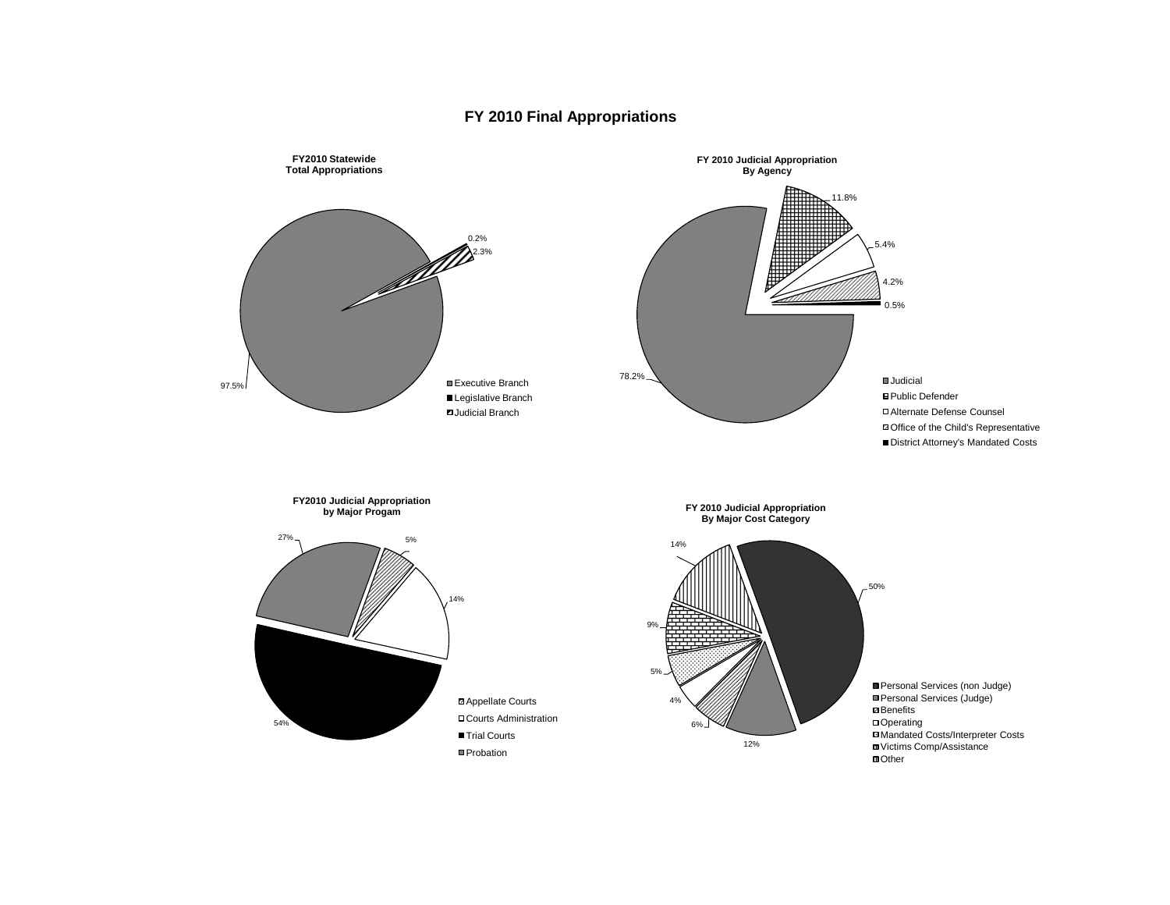## **FY 2010 Final Appropriations**

Judicial **B** Public Defender Alternate Defense Counsel Office of the Child's Representative ■ District Attorney's Mandated Costs

Personal Services (non Judge) ■Personal Services (Judge) **Ø** Benefits □ Operating Mandated Costs/Interpreter Costs Victims Comp/Assistance **III** Other